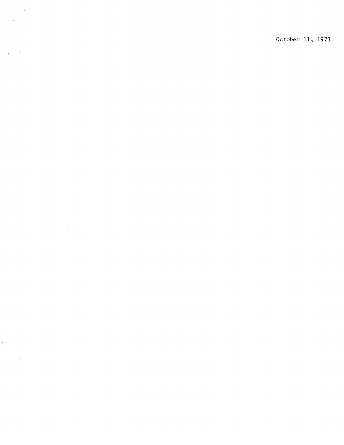$\mathcal{L}_{\mathbf{r}}$  $\bar{z}$ 

 $\sim$ 

 $\mathcal{A}^{\prime}$ 

 $\overline{\phantom{a}}$ 

 $\sim$ 

October 11, 1973

 $\sim 10^{-11}$ 

 $\sim$ 

 $\sim$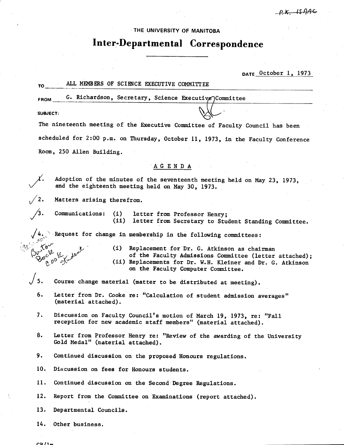# THE UNIVERSITY **OF MANITOBA**

# **Inter-Departmental Correspondence**

**DATE** October 1, 1973

#### ALL MEMBERS OF SCIENCE EXECUTIVE COMMITTEE

FROM **6. Richardson, Secretary, Science Executive Committee** 

**SUBJECT:** 

The nineteenth meeting of the Executive Committee of Faculty Council has been scheduled for 2:00 p.m. on Thursday, October 11, 1973, in the Faculty Conference Room, 250 Allen Building.

# AGENDA

Adoption of the minutes of the seventeenth meeting held on May 23, 1973, and the eighteenth meeting held on May 30, 1973.

Matters arising therefrom.

Communications: (i) letter from Professor Henry;<br>(ii) letter from Secretary to Stu letter from Secretary to Student Standing Committee.

Request for change in membership in the following committees:

(1) Replacement for Dr. G. Atkinson as chairman  $\mathcal{V}^{\mathcal{V} \times \mathcal{V}}$  of the Faculty Admissions Committee (letter attached);<br>(0<sup>0</sup> ) (11) Replacements for Dr. W.H. Kleiner and Dr. G. Atkinson (ii) Replacements for Dr. W.H. Kleiner and Dr. C. Atkinson on the Faculty Computer Committee.

# $\begin{matrix} \end{matrix}$  5.<br>6. Course change material (matter to be distributed at meeting).

- Letter from Dr. Cooke re: "Calculation of student admission averages" (material attached).
- 7. Discussion on Faculty Council's motion of March 19, 1973, re: "Fall reception for new academic staff members" (material attached).
- 8. Letter from Professor Henry re: "Review of the awarding of the University Cold Medal" (material attached).
- 9. Continued discussion on the proposed Honours regulations.

10. Discussion on fees for Honours students.

11. Continued discussion on the Second Degree Regulations.

12. Report from the Committee on Examinations (report attached).

- 13. Departmental Councils.
- $14.$ Other business.

 $CD/1 -$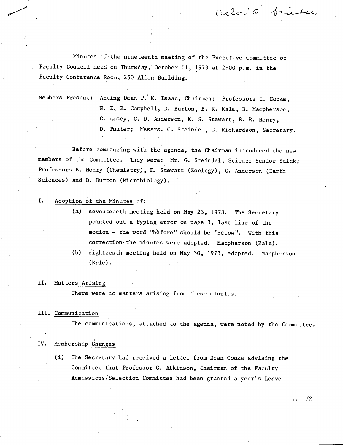Minutes of the nineteenth meeting of the Executive Committee of Faculty Council held on Thursday, October 11, 1973 at 2:00 p.m. in the Faculty Conference Room, 250 Allen Building.

ado's binder

Members Present: Acting Dean P. K. Isaac, Chairman; Professors I. Cooke, N. E. R. Campbell, D. Burton, B. K. Kale, B. Macpherson, Losey, C. D. Anderson, K. S. Stewart, B. R. Henry, D. Punter; Messrs. G. Steindel, G. Richardson, Secretary.

Before commencing with the agenda, the Chairman introduced the new members of the Committee. They were: Mr. C. Steindel, Science Senior Stick; Professors B. Henry (Chemistry), K. Stewart (Zoology), C. Anderson (Earth Sciences),and D. Burton (Microbiology).

#### I. Adoption of the Minutes of:

- (a) seventeenth meeting held on May 23, 1973. The Secretary pointed out a typing error on page 3, last line of the motion - the word "before" should be "below". With this correction the minutes were adopted. Macpherson (Kale).
- (b) eighteenth meeting held on May 30, 1973, adopted. Macpherson (Kale).

#### II. Matters Arising

There were no matters arising from these minutes.

#### III. Communication

The communications, attached to the agenda, were noted by the Committee.

#### IV. Membership Changes

(i) The Secretary had received a letter from Dean Cooke advising the Committee that Professor C. Atkinson, Chairman of the Faculty Admissions/Selection Committee had been granted a year's Leave

 $\cdots$  /2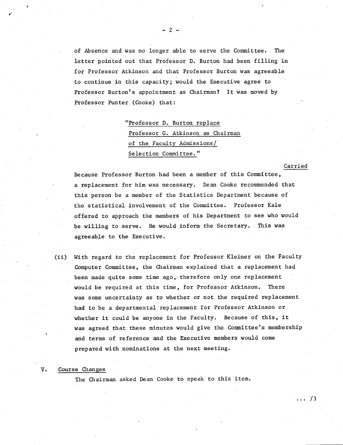of Absence and was no longer able to serve the Committee. The letter pointed out that Professor D. Burton had been filling in for Professor Atkinson and that Professor Burton was agreeable to continue in this capacity; would the Executive agree to Professor Burton's appointment as Chairman? It was moved by Professor Punter (Cooke) that:

- 2.-

"Professor D. Burton replace Professor G. Atkinson as Chairman of the Faculty Admissions/ Selection Committee."

Because Professor Burton had been a member of this Committee, a replacement for him was necessary. Dean Cooke recommended that this person be a member of the Statistics Department because of the statistical involvement of the Committee. Professor Kale offered to approach the members of his Department to see who would be willing to serve. He would inform the Secretary. This was agreeable to the Executive.

Carried

. . . 73

(ii) With regard to the replacement for Professor Kleiner on the Faculty. Computer Committee, the Chairman explained that a replacement had been made quite some time ago, therefore only one replacement would be required at this time, for Professor Atkinson. There was some uncertainty as to whether or not the required replacement had to be a departmental replacement for Professor Atkinson or whether it could be anyone in the Faculty. Because of this, it was agreed that these minutes would give the Committee's membership and terms of reference and the Executive members would come prepared with nominations at the next meeting.

#### Course Changes

The Chairman asked Dean Cooke to speak to this item.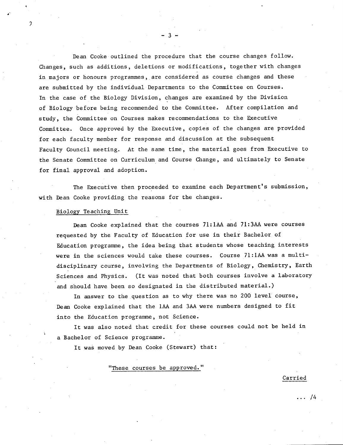Dean Cooke outlined the procedure that the course changes follow. Changes, such as additions, deletions or modifications, together with changes in majors or honours programmes, are considered as course changes and these are submitted by the individual Departments to the Committee on Courses. In the case of the Biology Division, changes are examined by the Division of Biology before being recommended to the Committee. After compilation and study, the Committee on Courses makes recommendations to the Executive Committee. Once approved by the Executive, copies of the changes are provided for each faculty member for response and discussion at the subsequent Faculty Council meeting. At the same time, the material goes from Executive to the Senate Committee on Curriculum and Course Change, and ultimately to Senate for final approval and adoption.

 $-3-$ 

The Executive then proceeded to examine each Department's submission, with Dean Cooke providing the reasons for the changes.

#### Biology Teaching Unit

Dean Cooke explained that the courses 71:1AA and 71:3AA were courses requested by the Faculty of Education for use in their Bachelor, of Education programme, the idea being that students whose teaching interests were in the sciences would take these courses. Course 71:1AA was a multidisciplinary course, involving the Departments of Biology, Chemistry, Earth Sciences and Physics. (It was noted that both courses involve a laboratory and should have been so designated in the distributed material.)

In answer to the question as to why there was no 200 level course, Dean Cooke explained that the 1AA and 3AA were numbers designed to fit into the Education programme, not Science.

It was also noted that credit for these courses could not be held in a Bachelor of Science programme.

It was moved by Dean Cooke (Stewart) that:

"These courses be approved."

Carried

 $\ldots$  /4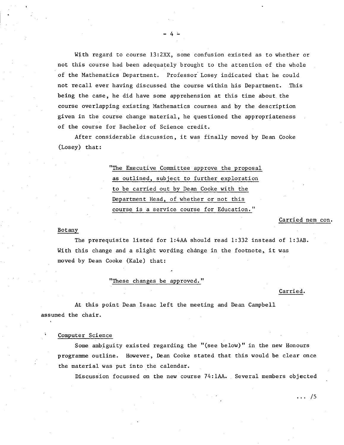With regard to course  $13:2XX$ , some confusion existed as to whether or not this course had been adequately brought to the attention of the whole of the Mathematics Department. Professor Losey indicated that he could not recall ever having discussed the course within his Department. This being the case, he did have some apprehension at this time about, the course overlapping existing Mathematics courses and by the description given in the course change material, he questioned the appropriateness of the course for Bachelor of Science credit.

-4--

After considerable discussion, it was finally moved by Dean Cooke (Losey) that:

> "The Executive Committee approve the proposal as outlined, subject to further exploration to be carried out by Dean Cooke with the Department Head, of whether or not this course is a service course for Education."

#### Carried nem con.

#### Botany

The prerequisite listed for 1:4AA should read 1:332 instead of 1:3AB. With this change and a slight wording change in the footnote, it was moved by Dean Cooke (Kale) that:

## "These changes be approved."

#### Carried.

At this point Dean Isaac left the meeting and Dean Campbell assumed the chair.

#### Computer Science

Some ambiguity existed regarding the "(see below)" in the new Honours programme outline. However, Dean Cooke stated that this would be clear once the material was put into the calendar.

Discussion focussed on the new course 74:1AA. Several members objected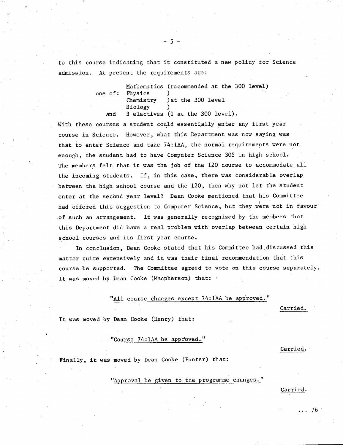to this course indicating that it constituted a new policy for Science admission. At present the requirements are:

> Mathematics (recommended at the 300 level) one of: Physics<br>Chemistry ) at the 300 level Biology ) and 3 electives (1 at the 300 level).

With these courses a student could essentially enter any first year course in Science. However, what this Department was now saying was that to enter Science and take 74:1AA, the normal requirements were not enough, the student had to have Computer Science 305 in high school. The members felt that it was the job of the 120 course to accommodate all the incoming students. If, in this case, there was considerable overlap between the high school course and the 120, then why not let the student enter at the second year level? Dean Cooke mentioned that his Committee had offered this suggestion to Computer Science, but they were not in favour of such an arrangement. It was generally recognized by the members that this Department did have a real problem with overlap between certain high school courses and its first year course.

In conclusion, Dean Cooke stated that his Committee had discussed this matter quite extensively and it was their final recommendation that this course be supported. The Committee agreed to vote on this course separately. It was moved by Dean Cooke (Macpherson) that:

#### "All course changes except 74:1AA be approved."

Carried.

It was moved by Dean Cooke (Henry) that:

### "Course 74:1AA be approved."

Carried.

Finally, it was moved by Dean Cooke (Punter) that:

"Approval be given to the programme changes."

Carried.

... 16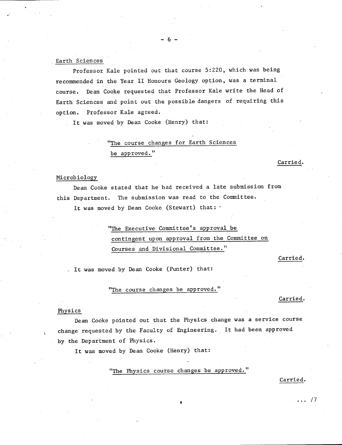Professor Kale pointed out that course 5:220, which was being recommended in the Year II Honours Geology option, was a terminal course. Dean Cooke requested that Professor Kale write the Head of Earth Sciences and point out the possible dangers of requiring this option. Professor Kale agreed.

 $-6 -$ 

It was moved by Dean Cooke (Henry) that:

# "The course changes for Earth Sciences

be approved."

#### Microbiology

Dean Cooke stated that he had received a late submission from this Department. The submission was read to the Committee. It was moved by Dean Cooke (Stewart) that: '

> "The Executive Committee's approval be contingent upon approval from the Committee on Courses and Divisional Committee."

> > Carried.

Carried.

It was moved by Dean Cooke (Punter) that:

"The course changes be approved."

Carried.

#### Physics

Dean Cooke pointed out that the Physics change was a service course change requested by the Faculty of Engineering. It had been approved by the Department of Physics.

It was moved by Dean Cooke (Henry) that:

"The Physics course changes be approved."

#### Carried.

 $\ldots$  /7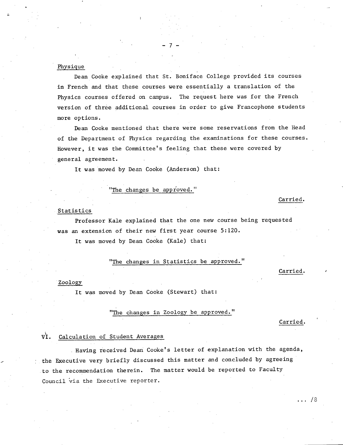#### Physique

Dean Cooke explained that St. Boniface College provided its courses in French and that these courses were essentially a translation of the Physics courses offered on campus. The request here was for the French version of three additional courses in order to give Francophone students more options.

 $-7-$ 

Dean Cooke mentioned that there were some reservations from the Head of the Department of Physics regarding the examinations for these courses. However, it was the Committee's feeling that these were covered by general agreement.

It was moved by Dean Cooke (Anderson) that:

#### "The changes be approved."

#### Statistics

Professor Kale explained that the one new course being requested was an extension of their new first year course 5:120.

It was moved by Dean Cooke (Kale) that:

"The changes in Statistics be approved."

#### Carried.

Carried.

#### Zoology

It was moved by Dean Cooke (Stewart) that:

"The changes in Zoology be approved."

Carried.

 $\ldots 78$ 

#### VI. Calculation of Student Averages

Having received Dean Cooke's letter of explanation with the agenda, the Executive very briefly discussed this matter and concluded by agreeing to the recommendation therein. The matter would be reported to Faculty Council via the Executive reporter.